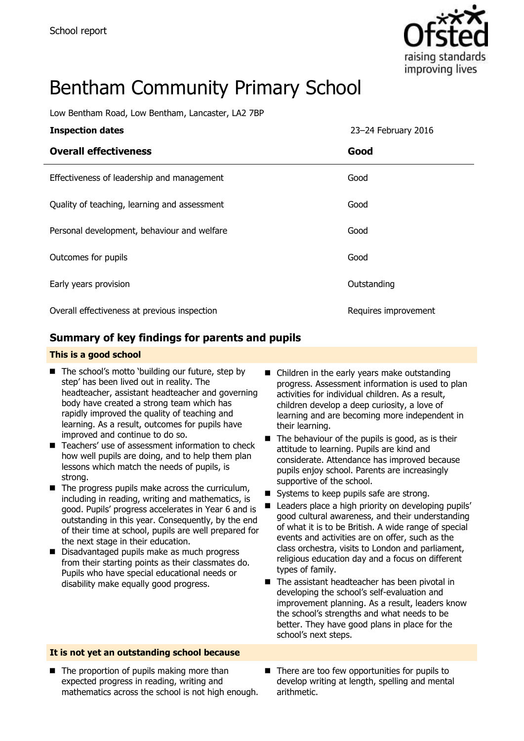

# Bentham Community Primary School

Low Bentham Road, Low Bentham, Lancaster, LA2 7BP

| <b>Inspection dates</b>                      | 23-24 February 2016  |
|----------------------------------------------|----------------------|
| <b>Overall effectiveness</b>                 | Good                 |
| Effectiveness of leadership and management   | Good                 |
| Quality of teaching, learning and assessment | Good                 |
| Personal development, behaviour and welfare  | Good                 |
| Outcomes for pupils                          | Good                 |
| Early years provision                        | Outstanding          |
| Overall effectiveness at previous inspection | Requires improvement |

### **Summary of key findings for parents and pupils**

#### **This is a good school**

- The school's motto 'building our future, step by step' has been lived out in reality. The headteacher, assistant headteacher and governing body have created a strong team which has rapidly improved the quality of teaching and learning. As a result, outcomes for pupils have improved and continue to do so.
- Teachers' use of assessment information to check how well pupils are doing, and to help them plan lessons which match the needs of pupils, is strong.
- $\blacksquare$  The progress pupils make across the curriculum, including in reading, writing and mathematics, is good. Pupils' progress accelerates in Year 6 and is outstanding in this year. Consequently, by the end of their time at school, pupils are well prepared for the next stage in their education.
- Disadvantaged pupils make as much progress from their starting points as their classmates do. Pupils who have special educational needs or disability make equally good progress.
- Children in the early years make outstanding progress. Assessment information is used to plan activities for individual children. As a result, children develop a deep curiosity, a love of learning and are becoming more independent in their learning.
- $\blacksquare$  The behaviour of the pupils is good, as is their attitude to learning. Pupils are kind and considerate. Attendance has improved because pupils enjoy school. Parents are increasingly supportive of the school.
- Systems to keep pupils safe are strong.
- Leaders place a high priority on developing pupils' good cultural awareness, and their understanding of what it is to be British. A wide range of special events and activities are on offer, such as the class orchestra, visits to London and parliament, religious education day and a focus on different types of family.
- The assistant headteacher has been pivotal in developing the school's self-evaluation and improvement planning. As a result, leaders know the school's strengths and what needs to be better. They have good plans in place for the school's next steps.

#### **It is not yet an outstanding school because**

- $\blacksquare$  The proportion of pupils making more than expected progress in reading, writing and mathematics across the school is not high enough.
- There are too few opportunities for pupils to develop writing at length, spelling and mental arithmetic.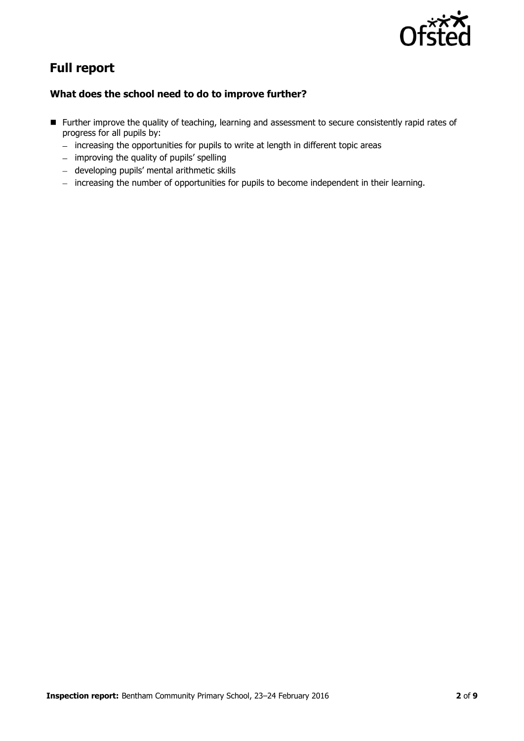

# **Full report**

#### **What does the school need to do to improve further?**

- Further improve the quality of teaching, learning and assessment to secure consistently rapid rates of progress for all pupils by:
	- increasing the opportunities for pupils to write at length in different topic areas
	- improving the quality of pupils' spelling
	- developing pupils' mental arithmetic skills
	- increasing the number of opportunities for pupils to become independent in their learning.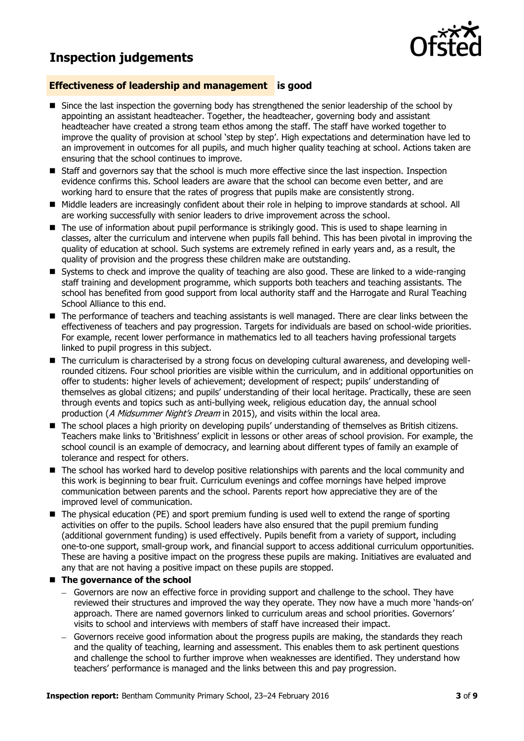## **Inspection judgements**



#### **Effectiveness of leadership and management is good**

- **Since the last inspection the governing body has strengthened the senior leadership of the school by** appointing an assistant headteacher. Together, the headteacher, governing body and assistant headteacher have created a strong team ethos among the staff. The staff have worked together to improve the quality of provision at school 'step by step'. High expectations and determination have led to an improvement in outcomes for all pupils, and much higher quality teaching at school. Actions taken are ensuring that the school continues to improve.
- Staff and governors say that the school is much more effective since the last inspection. Inspection evidence confirms this. School leaders are aware that the school can become even better, and are working hard to ensure that the rates of progress that pupils make are consistently strong.
- Middle leaders are increasingly confident about their role in helping to improve standards at school. All are working successfully with senior leaders to drive improvement across the school.
- The use of information about pupil performance is strikingly good. This is used to shape learning in classes, alter the curriculum and intervene when pupils fall behind. This has been pivotal in improving the quality of education at school. Such systems are extremely refined in early years and, as a result, the quality of provision and the progress these children make are outstanding.
- Systems to check and improve the quality of teaching are also good. These are linked to a wide-ranging staff training and development programme, which supports both teachers and teaching assistants. The school has benefited from good support from local authority staff and the Harrogate and Rural Teaching School Alliance to this end.
- The performance of teachers and teaching assistants is well managed. There are clear links between the effectiveness of teachers and pay progression. Targets for individuals are based on school-wide priorities. For example, recent lower performance in mathematics led to all teachers having professional targets linked to pupil progress in this subject.
- The curriculum is characterised by a strong focus on developing cultural awareness, and developing wellrounded citizens. Four school priorities are visible within the curriculum, and in additional opportunities on offer to students: higher levels of achievement; development of respect; pupils' understanding of themselves as global citizens; and pupils' understanding of their local heritage. Practically, these are seen through events and topics such as anti-bullying week, religious education day, the annual school production (A Midsummer Night's Dream in 2015), and visits within the local area.
- The school places a high priority on developing pupils' understanding of themselves as British citizens. Teachers make links to 'Britishness' explicit in lessons or other areas of school provision. For example, the school council is an example of democracy, and learning about different types of family an example of tolerance and respect for others.
- The school has worked hard to develop positive relationships with parents and the local community and this work is beginning to bear fruit. Curriculum evenings and coffee mornings have helped improve communication between parents and the school. Parents report how appreciative they are of the improved level of communication.
- The physical education (PE) and sport premium funding is used well to extend the range of sporting activities on offer to the pupils. School leaders have also ensured that the pupil premium funding (additional government funding) is used effectively. Pupils benefit from a variety of support, including one-to-one support, small-group work, and financial support to access additional curriculum opportunities. These are having a positive impact on the progress these pupils are making. Initiatives are evaluated and any that are not having a positive impact on these pupils are stopped.

#### ■ The governance of the school

- Governors are now an effective force in providing support and challenge to the school. They have reviewed their structures and improved the way they operate. They now have a much more 'hands-on' approach. There are named governors linked to curriculum areas and school priorities. Governors' visits to school and interviews with members of staff have increased their impact.
- Governors receive good information about the progress pupils are making, the standards they reach and the quality of teaching, learning and assessment. This enables them to ask pertinent questions and challenge the school to further improve when weaknesses are identified. They understand how teachers' performance is managed and the links between this and pay progression.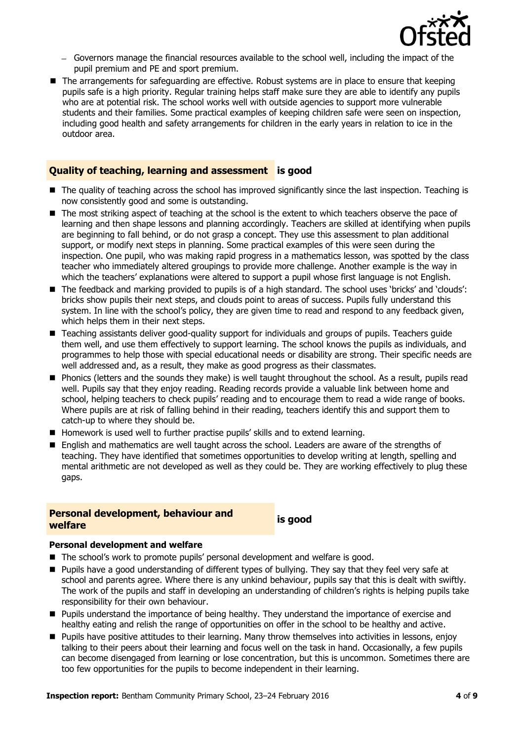

- Governors manage the financial resources available to the school well, including the impact of the pupil premium and PE and sport premium.
- **The arrangements for safeguarding are effective. Robust systems are in place to ensure that keeping** pupils safe is a high priority. Regular training helps staff make sure they are able to identify any pupils who are at potential risk. The school works well with outside agencies to support more vulnerable students and their families. Some practical examples of keeping children safe were seen on inspection, including good health and safety arrangements for children in the early years in relation to ice in the outdoor area.

#### **Quality of teaching, learning and assessment is good**

- The quality of teaching across the school has improved significantly since the last inspection. Teaching is now consistently good and some is outstanding.
- $\blacksquare$  The most striking aspect of teaching at the school is the extent to which teachers observe the pace of learning and then shape lessons and planning accordingly. Teachers are skilled at identifying when pupils are beginning to fall behind, or do not grasp a concept. They use this assessment to plan additional support, or modify next steps in planning. Some practical examples of this were seen during the inspection. One pupil, who was making rapid progress in a mathematics lesson, was spotted by the class teacher who immediately altered groupings to provide more challenge. Another example is the way in which the teachers' explanations were altered to support a pupil whose first language is not English.
- The feedback and marking provided to pupils is of a high standard. The school uses 'bricks' and 'clouds': bricks show pupils their next steps, and clouds point to areas of success. Pupils fully understand this system. In line with the school's policy, they are given time to read and respond to any feedback given, which helps them in their next steps.
- Teaching assistants deliver good-quality support for individuals and groups of pupils. Teachers guide them well, and use them effectively to support learning. The school knows the pupils as individuals, and programmes to help those with special educational needs or disability are strong. Their specific needs are well addressed and, as a result, they make as good progress as their classmates.
- **Phonics (letters and the sounds they make) is well taught throughout the school. As a result, pupils read** well. Pupils say that they enjoy reading. Reading records provide a valuable link between home and school, helping teachers to check pupils' reading and to encourage them to read a wide range of books. Where pupils are at risk of falling behind in their reading, teachers identify this and support them to catch-up to where they should be.
- Homework is used well to further practise pupils' skills and to extend learning.
- **E** English and mathematics are well taught across the school. Leaders are aware of the strengths of teaching. They have identified that sometimes opportunities to develop writing at length, spelling and mental arithmetic are not developed as well as they could be. They are working effectively to plug these gaps.

# **Personal development, behaviour and welfare is good**

#### **Personal development and welfare**

- The school's work to promote pupils' personal development and welfare is good.
- Pupils have a good understanding of different types of bullying. They say that they feel very safe at school and parents agree. Where there is any unkind behaviour, pupils say that this is dealt with swiftly. The work of the pupils and staff in developing an understanding of children's rights is helping pupils take responsibility for their own behaviour.
- **Pupils understand the importance of being healthy. They understand the importance of exercise and** healthy eating and relish the range of opportunities on offer in the school to be healthy and active.
- Pupils have positive attitudes to their learning. Many throw themselves into activities in lessons, enjoy talking to their peers about their learning and focus well on the task in hand. Occasionally, a few pupils can become disengaged from learning or lose concentration, but this is uncommon. Sometimes there are too few opportunities for the pupils to become independent in their learning.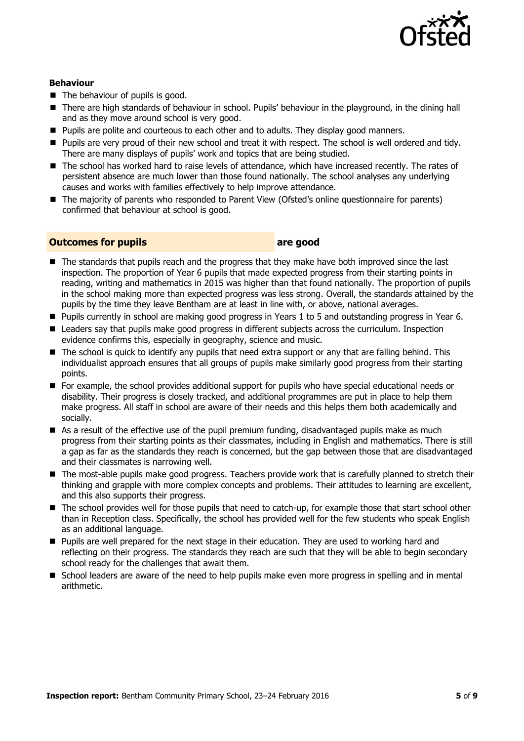

#### **Behaviour**

- $\blacksquare$  The behaviour of pupils is good.
- There are high standards of behaviour in school. Pupils' behaviour in the playground, in the dining hall and as they move around school is very good.
- **Pupils are polite and courteous to each other and to adults. They display good manners.**
- Pupils are very proud of their new school and treat it with respect. The school is well ordered and tidy. There are many displays of pupils' work and topics that are being studied.
- The school has worked hard to raise levels of attendance, which have increased recently. The rates of persistent absence are much lower than those found nationally. The school analyses any underlying causes and works with families effectively to help improve attendance.
- The majority of parents who responded to Parent View (Ofsted's online questionnaire for parents) confirmed that behaviour at school is good.

#### **Outcomes for pupils are good**

- The standards that pupils reach and the progress that they make have both improved since the last inspection. The proportion of Year 6 pupils that made expected progress from their starting points in reading, writing and mathematics in 2015 was higher than that found nationally. The proportion of pupils in the school making more than expected progress was less strong. Overall, the standards attained by the pupils by the time they leave Bentham are at least in line with, or above, national averages.
- Pupils currently in school are making good progress in Years 1 to 5 and outstanding progress in Year 6.
- **E** Leaders say that pupils make good progress in different subjects across the curriculum. Inspection evidence confirms this, especially in geography, science and music.
- The school is quick to identify any pupils that need extra support or any that are falling behind. This individualist approach ensures that all groups of pupils make similarly good progress from their starting points.
- For example, the school provides additional support for pupils who have special educational needs or disability. Their progress is closely tracked, and additional programmes are put in place to help them make progress. All staff in school are aware of their needs and this helps them both academically and socially.
- As a result of the effective use of the pupil premium funding, disadvantaged pupils make as much progress from their starting points as their classmates, including in English and mathematics. There is still a gap as far as the standards they reach is concerned, but the gap between those that are disadvantaged and their classmates is narrowing well.
- The most-able pupils make good progress. Teachers provide work that is carefully planned to stretch their thinking and grapple with more complex concepts and problems. Their attitudes to learning are excellent, and this also supports their progress.
- The school provides well for those pupils that need to catch-up, for example those that start school other than in Reception class. Specifically, the school has provided well for the few students who speak English as an additional language.
- **Pupils are well prepared for the next stage in their education. They are used to working hard and** reflecting on their progress. The standards they reach are such that they will be able to begin secondary school ready for the challenges that await them.
- $\blacksquare$  School leaders are aware of the need to help pupils make even more progress in spelling and in mental arithmetic.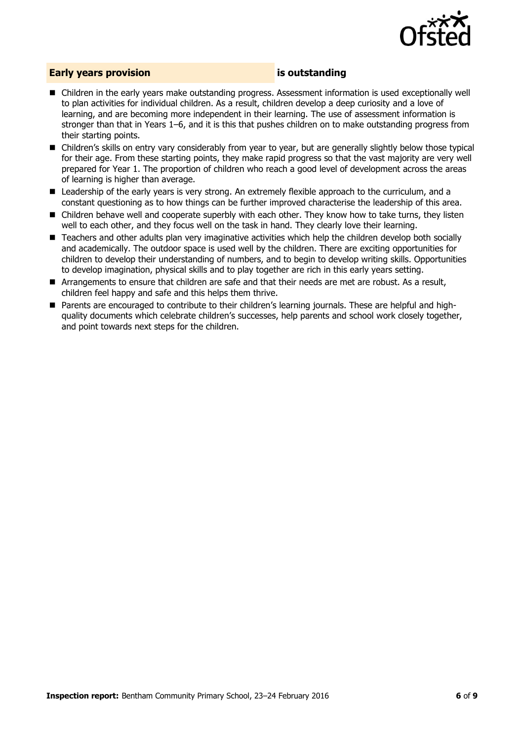

#### **Early years provision is outstanding**

- Children in the early years make outstanding progress. Assessment information is used exceptionally well to plan activities for individual children. As a result, children develop a deep curiosity and a love of learning, and are becoming more independent in their learning. The use of assessment information is stronger than that in Years 1–6, and it is this that pushes children on to make outstanding progress from their starting points.
- Children's skills on entry vary considerably from year to year, but are generally slightly below those typical for their age. From these starting points, they make rapid progress so that the vast majority are very well prepared for Year 1. The proportion of children who reach a good level of development across the areas of learning is higher than average.
- **E** Leadership of the early years is very strong. An extremely flexible approach to the curriculum, and a constant questioning as to how things can be further improved characterise the leadership of this area.
- **E** Children behave well and cooperate superbly with each other. They know how to take turns, they listen well to each other, and they focus well on the task in hand. They clearly love their learning.
- Teachers and other adults plan very imaginative activities which help the children develop both socially and academically. The outdoor space is used well by the children. There are exciting opportunities for children to develop their understanding of numbers, and to begin to develop writing skills. Opportunities to develop imagination, physical skills and to play together are rich in this early years setting.
- Arrangements to ensure that children are safe and that their needs are met are robust. As a result, children feel happy and safe and this helps them thrive.
- Parents are encouraged to contribute to their children's learning journals. These are helpful and highquality documents which celebrate children's successes, help parents and school work closely together, and point towards next steps for the children.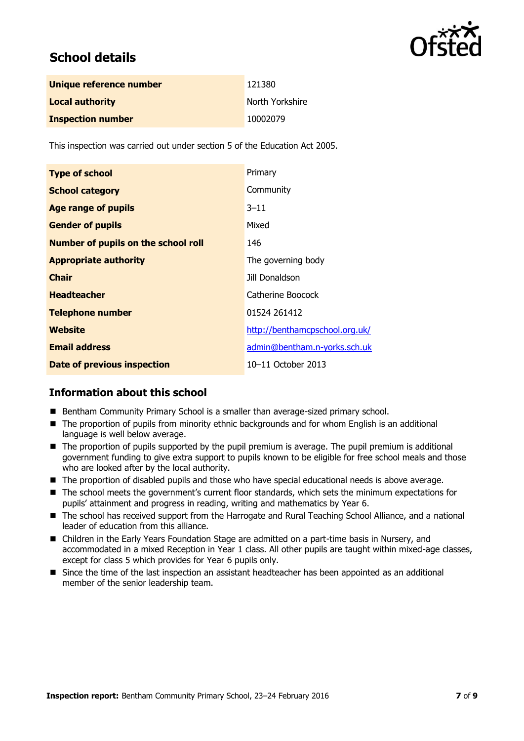

## **School details**

| Unique reference number  | 121380          |
|--------------------------|-----------------|
| <b>Local authority</b>   | North Yorkshire |
| <b>Inspection number</b> | 10002079        |

This inspection was carried out under section 5 of the Education Act 2005.

| <b>Type of school</b>                      | Primary                        |
|--------------------------------------------|--------------------------------|
| <b>School category</b>                     | Community                      |
| <b>Age range of pupils</b>                 | $3 - 11$                       |
| <b>Gender of pupils</b>                    | Mixed                          |
| <b>Number of pupils on the school roll</b> | 146                            |
| <b>Appropriate authority</b>               | The governing body             |
| <b>Chair</b>                               | Jill Donaldson                 |
| <b>Headteacher</b>                         | Catherine Boocock              |
| <b>Telephone number</b>                    | 01524 261412                   |
| Website                                    | http://benthamcpschool.org.uk/ |
| <b>Email address</b>                       | admin@bentham.n-yorks.sch.uk   |
| <b>Date of previous inspection</b>         | 10-11 October 2013             |

#### **Information about this school**

- **Bentham Community Primary School is a smaller than average-sized primary school.**
- The proportion of pupils from minority ethnic backgrounds and for whom English is an additional language is well below average.
- The proportion of pupils supported by the pupil premium is average. The pupil premium is additional government funding to give extra support to pupils known to be eligible for free school meals and those who are looked after by the local authority.
- The proportion of disabled pupils and those who have special educational needs is above average.
- The school meets the government's current floor standards, which sets the minimum expectations for pupils' attainment and progress in reading, writing and mathematics by Year 6.
- The school has received support from the Harrogate and Rural Teaching School Alliance, and a national leader of education from this alliance.
- Children in the Early Years Foundation Stage are admitted on a part-time basis in Nursery, and accommodated in a mixed Reception in Year 1 class. All other pupils are taught within mixed-age classes, except for class 5 which provides for Year 6 pupils only.
- Since the time of the last inspection an assistant headteacher has been appointed as an additional member of the senior leadership team.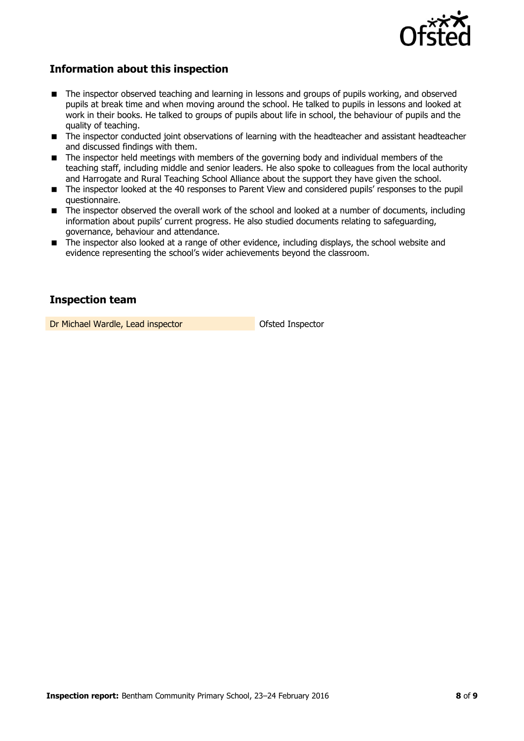

### **Information about this inspection**

- The inspector observed teaching and learning in lessons and groups of pupils working, and observed pupils at break time and when moving around the school. He talked to pupils in lessons and looked at work in their books. He talked to groups of pupils about life in school, the behaviour of pupils and the quality of teaching.
- The inspector conducted joint observations of learning with the headteacher and assistant headteacher and discussed findings with them.
- The inspector held meetings with members of the governing body and individual members of the teaching staff, including middle and senior leaders. He also spoke to colleagues from the local authority and Harrogate and Rural Teaching School Alliance about the support they have given the school.
- The inspector looked at the 40 responses to Parent View and considered pupils' responses to the pupil questionnaire.
- The inspector observed the overall work of the school and looked at a number of documents, including information about pupils' current progress. He also studied documents relating to safeguarding, governance, behaviour and attendance.
- The inspector also looked at a range of other evidence, including displays, the school website and evidence representing the school's wider achievements beyond the classroom.

#### **Inspection team**

Dr Michael Wardle, Lead inspector **Dr Michael Wardle, Lead inspector**